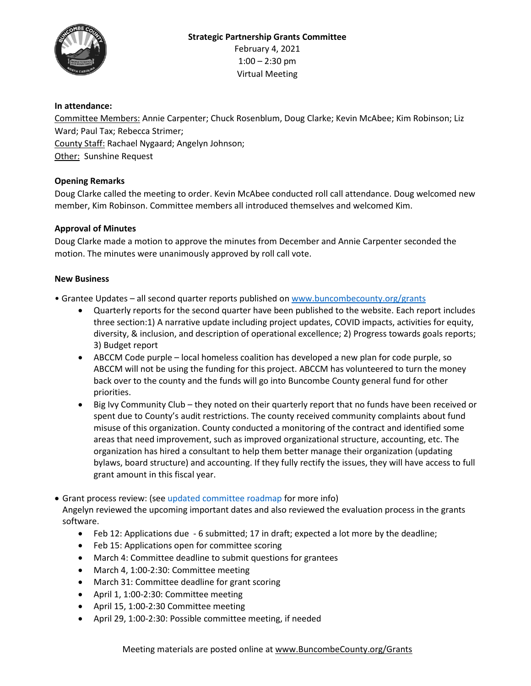

# **In attendance:**

Committee Members: Annie Carpenter; Chuck Rosenblum, Doug Clarke; Kevin McAbee; Kim Robinson; Liz Ward; Paul Tax; Rebecca Strimer; County Staff: Rachael Nygaard; Angelyn Johnson; **Other: Sunshine Request** 

## **Opening Remarks**

Doug Clarke called the meeting to order. Kevin McAbee conducted roll call attendance. Doug welcomed new member, Kim Robinson. Committee members all introduced themselves and welcomed Kim.

## **Approval of Minutes**

Doug Clarke made a motion to approve the minutes from December and Annie Carpenter seconded the motion. The minutes were unanimously approved by roll call vote.

### **New Business**

- Grantee Updates all second quarter reports published on [www.buncombecounty.org/grants](http://www.buncombecounty.org/grants)
	- Quarterly reports for the second quarter have been published to the website. Each report includes three section:1) A narrative update including project updates, COVID impacts, activities for equity, diversity, & inclusion, and description of operational excellence; 2) Progress towards goals reports; 3) Budget report
	- ABCCM Code purple local homeless coalition has developed a new plan for code purple, so ABCCM will not be using the funding for this project. ABCCM has volunteered to turn the money back over to the county and the funds will go into Buncombe County general fund for other priorities.
	- Big Ivy Community Club they noted on their quarterly report that no funds have been received or spent due to County's audit restrictions. The county received community complaints about fund misuse of this organization. County conducted a monitoring of the contract and identified some areas that need improvement, such as improved organizational structure, accounting, etc. The organization has hired a consultant to help them better manage their organization (updating bylaws, board structure) and accounting. If they fully rectify the issues, they will have access to full grant amount in this fiscal year.
- Grant process review: (see updated committee roadmap for more info) Angelyn reviewed the upcoming important dates and also reviewed the evaluation process in the grants software.
	- Feb 12: Applications due 6 submitted; 17 in draft; expected a lot more by the deadline;
	- Feb 15: Applications open for committee scoring
	- March 4: Committee deadline to submit questions for grantees
	- March 4, 1:00-2:30: Committee meeting
	- March 31: Committee deadline for grant scoring
	- April 1, 1:00-2:30: Committee meeting
	- April 15, 1:00-2:30 Committee meeting
	- April 29, 1:00-2:30: Possible committee meeting, if needed